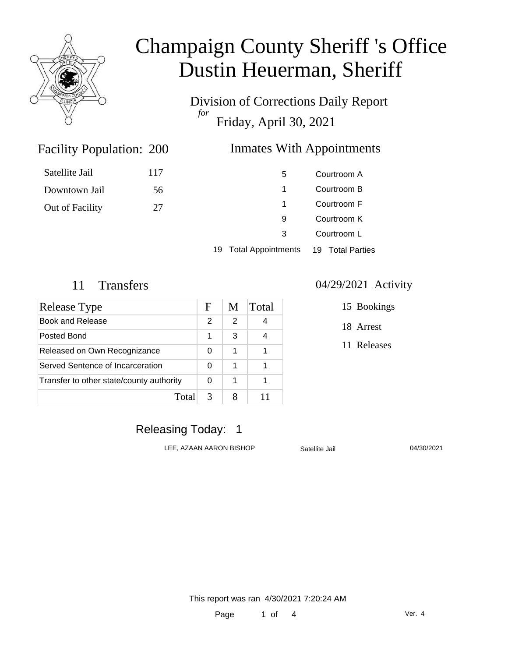

Division of Corrections Daily Report *for* Friday, April 30, 2021

### **Inmates With Appointments**

| Satellite Jail  | 117 | 5  | Courtroom A |
|-----------------|-----|----|-------------|
| Downtown Jail   | 56  | 1  | Courtroom B |
| Out of Facility | 27  | -1 | Courtroom F |
|                 |     | 9  | Courtroom K |
|                 |     | 3  | Courtroom L |
|                 |     |    |             |

19 Total Appointments 19 Total Parties

Facility Population: 200

| Release Type                             | F | M | Total |
|------------------------------------------|---|---|-------|
| Book and Release                         | 2 | 2 |       |
| Posted Bond                              | 1 | 3 |       |
| Released on Own Recognizance             | 0 | 1 |       |
| Served Sentence of Incarceration         | 0 | 1 |       |
| Transfer to other state/county authority |   | 1 |       |
| Total                                    | 3 |   |       |

#### 11 Transfers 04/29/2021 Activity

15 Bookings

18 Arrest

11 Releases

### Releasing Today: 1

LEE, AZAAN AARON BISHOP Satellite Jail 04/30/2021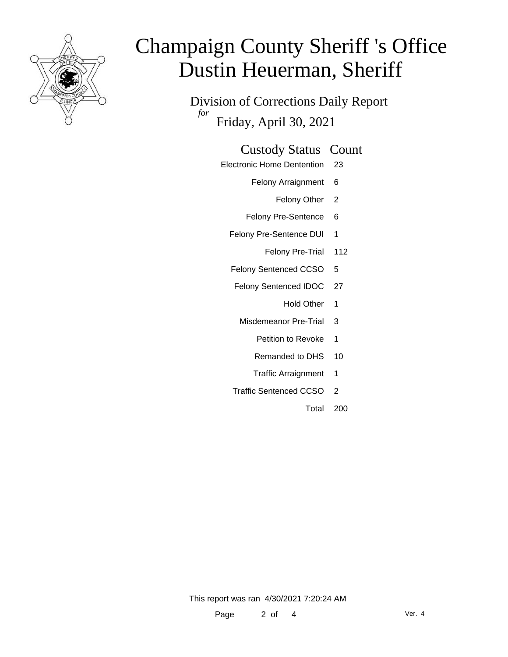

Division of Corrections Daily Report *for* Friday, April 30, 2021

### Custody Status Count

- Electronic Home Dentention 23
	- Felony Arraignment 6
		- Felony Other 2
	- Felony Pre-Sentence 6
	- Felony Pre-Sentence DUI 1
		- Felony Pre-Trial 112
	- Felony Sentenced CCSO 5
	- Felony Sentenced IDOC 27
		- Hold Other 1
		- Misdemeanor Pre-Trial 3
			- Petition to Revoke 1
			- Remanded to DHS 10
			- Traffic Arraignment 1
	- Traffic Sentenced CCSO 2
		- Total 200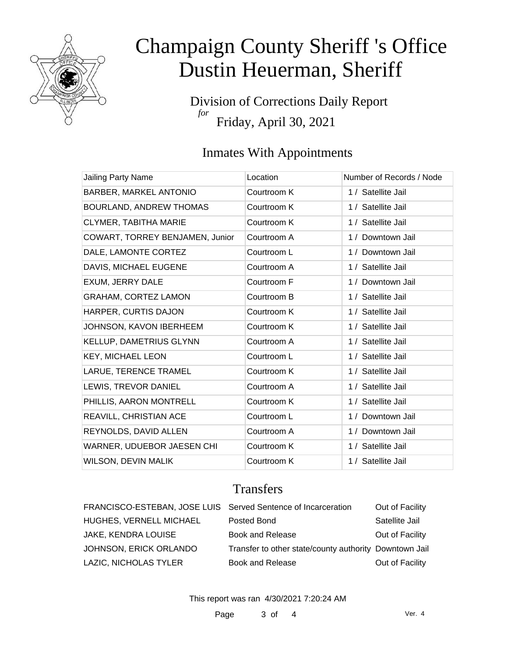

Division of Corrections Daily Report *for* Friday, April 30, 2021

## Inmates With Appointments

| Jailing Party Name              | Location    | Number of Records / Node |
|---------------------------------|-------------|--------------------------|
| BARBER, MARKEL ANTONIO          | Courtroom K | 1 / Satellite Jail       |
| <b>BOURLAND, ANDREW THOMAS</b>  | Courtroom K | 1 / Satellite Jail       |
| <b>CLYMER, TABITHA MARIE</b>    | Courtroom K | 1 / Satellite Jail       |
| COWART, TORREY BENJAMEN, Junior | Courtroom A | 1 / Downtown Jail        |
| DALE, LAMONTE CORTEZ            | Courtroom L | 1 / Downtown Jail        |
| DAVIS, MICHAEL EUGENE           | Courtroom A | 1 / Satellite Jail       |
| EXUM, JERRY DALE                | Courtroom F | 1 / Downtown Jail        |
| <b>GRAHAM, CORTEZ LAMON</b>     | Courtroom B | 1 / Satellite Jail       |
| HARPER, CURTIS DAJON            | Courtroom K | 1 / Satellite Jail       |
| JOHNSON, KAVON IBERHEEM         | Courtroom K | 1 / Satellite Jail       |
| KELLUP, DAMETRIUS GLYNN         | Courtroom A | 1 / Satellite Jail       |
| <b>KEY, MICHAEL LEON</b>        | Courtroom L | 1 / Satellite Jail       |
| LARUE, TERENCE TRAMEL           | Courtroom K | 1 / Satellite Jail       |
| LEWIS, TREVOR DANIEL            | Courtroom A | 1 / Satellite Jail       |
| PHILLIS, AARON MONTRELL         | Courtroom K | 1 / Satellite Jail       |
| REAVILL, CHRISTIAN ACE          | Courtroom L | 1 / Downtown Jail        |
| REYNOLDS, DAVID ALLEN           | Courtroom A | 1 / Downtown Jail        |
| WARNER, UDUEBOR JAESEN CHI      | Courtroom K | 1 / Satellite Jail       |
| <b>WILSON, DEVIN MALIK</b>      | Courtroom K | 1 / Satellite Jail       |

### **Transfers**

| FRANCISCO-ESTEBAN, JOSE LUIS Served Sentence of Incarceration |                                                        | Out of Facility |
|---------------------------------------------------------------|--------------------------------------------------------|-----------------|
| HUGHES, VERNELL MICHAEL                                       | Posted Bond                                            | Satellite Jail  |
| <b>JAKE, KENDRA LOUISE</b>                                    | <b>Book and Release</b>                                | Out of Facility |
| JOHNSON, ERICK ORLANDO                                        | Transfer to other state/county authority Downtown Jail |                 |
| LAZIC, NICHOLAS TYLER                                         | Book and Release                                       | Out of Facility |